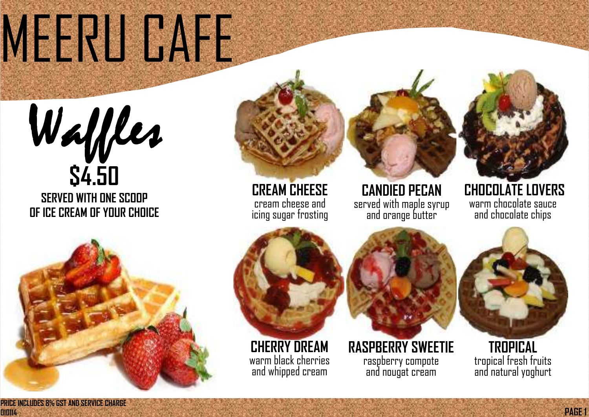**PRICE INCLUDES 8% GST AND SERVICE CHARGE 010114** 

**PAGE 1**

**CANDIED PECAN**  served with maple syrup and orange butter

#### tuna, mozzarella, <mark>mo</mark>z peroni and jalan ke ku sebagai ke ku sebagai ke ku sebagai ke ku sebagai ke ku sebagai ke ku sebagai ke ku se<br>Peroni and jalan ke ku sebagai ke ku sebagai ke ku sebagai ke ku sebagai ke ku sebagai ke ku sebagai ke ku seb **CREAM CHEESE**  cream cheese and icing sugar frosting

### **CHOCOLATE LOVERS**  warm chocolate sauce and chocolate chips

## MERU CAFE



**RASPBERRY SWEETIE**  raspberry compote and nougat cream

### **TROPICAL**  tropical fresh fruits and natural yoghurt

**OF ICE CREAM OF YOUR CHOICE** 



**CHERRY DREAM**  warm black cherries and whipped cream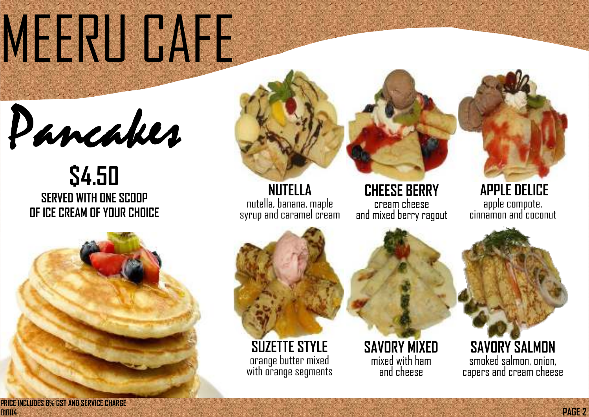**PAGE 2**

**TUNA & MOZZARELLA**  tuna, mozzarella, peroni and jaland.<br>Peperoni and jaland jaland jaland jaland jaland jaland jaland jaland jaland jaland jaland jaland jaland jaland<br>Peroni and jaland jaland jaland jaland jaland jaland jaland jaland jaland jaland jaland jala **NUTELLA**  nutella, banana, maple syrup and caramel cream

## MEERU CAFE



**\$4.50 SERVED WITH ONE SCOOP OF ICE CREAM OF YOUR CHOICE** 



**CHEESE BERRY**  cream cheese and mixed berry ragout



**SAVORY MIXED**  mixed with ham and cheese

### **SAVORY SALMON**  smoked salmon, onion, capers and cream cheese

#### **APPLE DELICE**  apple compote, cinnamon and coconut

**PRICE INCLUDES 8% GST AND SERVICE CHARGE 010114**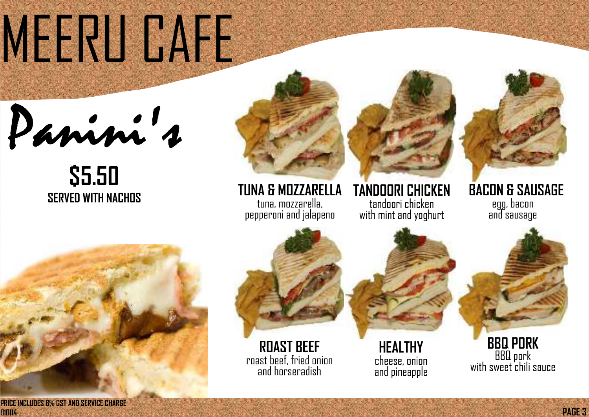## MERU CAFE

Panni 1

## pepperoni and jalapeno **SERVED WITH NACHOS TUNA & MOZZARELLA \$5.50**

## **TUNA & MOZZARELLA** tuna, mozzarella, mozzarella, mozzarella, mozzarella, mozzarella, mozzarella, mozzarella, mozzarella, mozzarel<br>Experimental, mozzarella, mozzarella, mozzarella, mozzarella, mozzarella, mozzarella, mozzarella, mozzarella,

**PAGE 3**

tuna, mozzarella, pepperoni and jalapeno

**BBQ PORK**  BBQ pork with sweet chili sauce

**TANDOORI CHICKEN**  tandoori chicken with mint and yoghurt

#### **BACON & SAUSAGE** egg, bacon and sausage

**ROAST BEEF** roast beef, fried onion and horseradish

**HEALTHY**  cheese, onion and pineapple



**010114** 

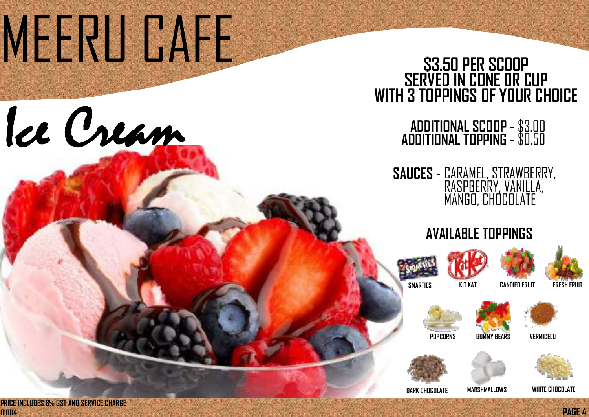## MEERU CAFE



**TANDOORI CHICKET** 

tandoori chicken

with mint and yoghurtha mint and yoghurtha mint and yoghurtha mint and yoghurtha mint and yoghurtha mint and y<br>The contract of the contract of the contract of the contract of the contract of the contract of the contract o



tuna, mozzarella,

#### **E IUPPING -** \$U.5U **ADDITIONAL SCOOP - ADDITIONAL TOPPING -**  \$3.00 \$0.50

pepperoni and jalapeno







**PAGE 4**



### **SAUCES** - CARAMEL, STRAWBERRY, RASPBERRY, VANILLA, MANGO, CHOCOLATE

### **\$3.50 PER SCOOP SERVED IN CONE OR CUP WITH 3 TOPPINGS OF YOUR CHOICE**

### **AVAILABLE TOPPINGS**







**POPCORNS GUMMY BEARS VERMICELLI** 





#### **DARK CHOCOLATE MARSHMALLOWS WHITE CHOCOLATE**

**PRICE INCLUDES 8% GST AND SERVICE CHARGE 010114**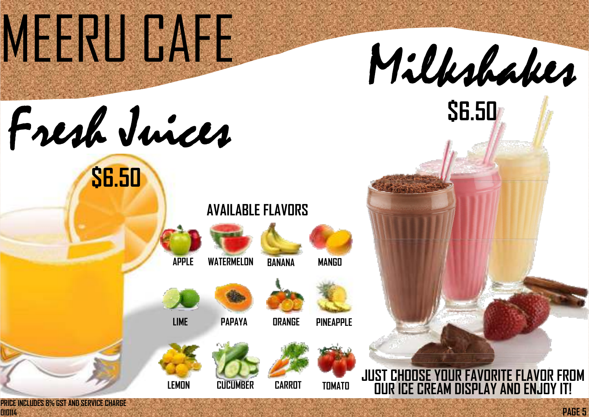## MERU GAFE

Fresh Juices

egg, bacon

and sausage **TUNA & MOZZARELLA** 

tandoori chicken

with mint and you will

**PAGE 5**



### personal and jalan jalan sebagai sebagai sebagai sebagai sebagai sebagai sebagai sebagai sebagai sebagai sebag **AVAILABLE FLAVORS**









**TANDOORI CHICKEN LINES** 

**LEMON CUCUMBER TOMATO**







**DRANGE** 









**CARROT**



### **JUST CHOOSE YOUR FAVORITE FLAVOR FROM OUR ICE CREAM DISPLAY AND ENJOY IT!**

**\$6.50** 

**PRICE INCLUDES 8% GST AND SERVICE CHARGE 010114** 



 $\frac{1}{2}$